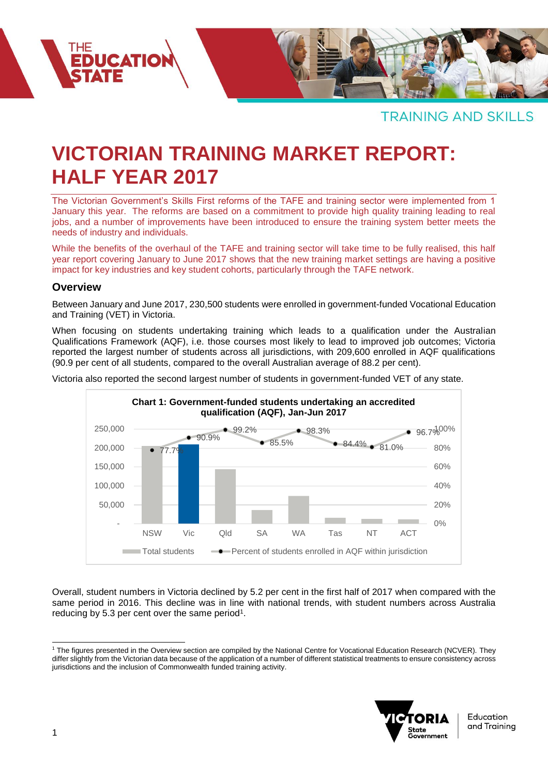

# **VICTORIAN TRAINING MARKET REPORT: HALF YEAR 2017**

The Victorian Government's Skills First reforms of the TAFE and training sector were implemented from 1 January this year. The reforms are based on a commitment to provide high quality training leading to real jobs, and a number of improvements have been introduced to ensure the training system better meets the needs of industry and individuals.

While the benefits of the overhaul of the TAFE and training sector will take time to be fully realised, this half year report covering January to June 2017 shows that the new training market settings are having a positive impact for key industries and key student cohorts, particularly through the TAFE network.

#### **Overview**

**EDUCATION** 

Between January and June 2017, 230,500 students were enrolled in government-funded Vocational Education and Training (VET) in Victoria.

When focusing on students undertaking training which leads to a qualification under the Australian Qualifications Framework (AQF), i.e. those courses most likely to lead to improved job outcomes; Victoria reported the largest number of students across all jurisdictions, with 209,600 enrolled in AQF qualifications (90.9 per cent of all students, compared to the overall Australian average of 88.2 per cent).

Victoria also reported the second largest number of students in government-funded VET of any state.



Overall, student numbers in Victoria declined by 5.2 per cent in the first half of 2017 when compared with the same period in 2016. This decline was in line with national trends, with student numbers across Australia reducing by 5.3 per cent over the same period<sup>1</sup>.

l <sup>1</sup> The figures presented in the Overview section are compiled by the National Centre for Vocational Education Research (NCVER). They differ slightly from the Victorian data because of the application of a number of different statistical treatments to ensure consistency across jurisdictions and the inclusion of Commonwealth funded training activity.



Education and Training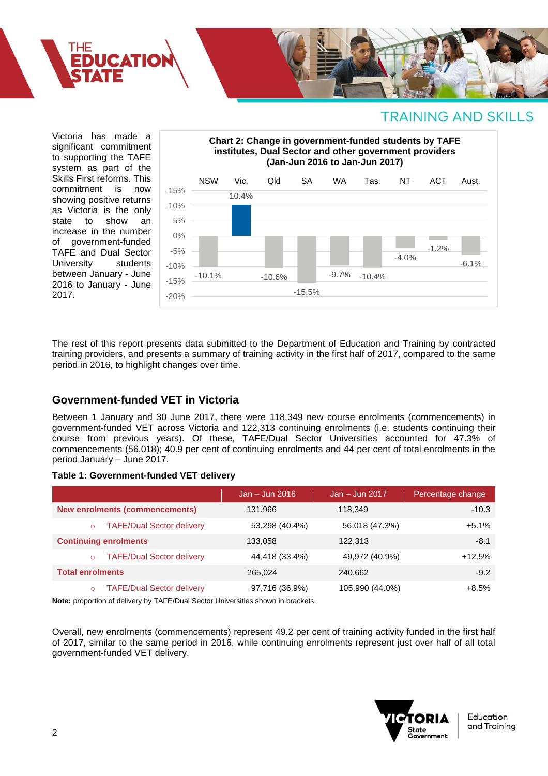

Victoria has made a significant commitment to supporting the TAFE system as part of the Skills First reforms. This commitment is now showing positive returns as Victoria is the only<br>state to show an state to show an increase in the number of government-funded TAFE and Dual Sector University students between January - June 2016 to January - June 2017.



The rest of this report presents data submitted to the Department of Education and Training by contracted training providers, and presents a summary of training activity in the first half of 2017, compared to the same period in 2016, to highlight changes over time.

### **Government-funded VET in Victoria**

Between 1 January and 30 June 2017, there were 118,349 new course enrolments (commencements) in government-funded VET across Victoria and 122,313 continuing enrolments (i.e. students continuing their course from previous years). Of these, TAFE/Dual Sector Universities accounted for 47.3% of commencements (56,018); 40.9 per cent of continuing enrolments and 44 per cent of total enrolments in the period January – June 2017.

#### **Table 1: Government-funded VET delivery**

|                                             | $Jan - Jun 2016$ | $Jan - Jun 2017$ | Percentage change |
|---------------------------------------------|------------------|------------------|-------------------|
| <b>New enrolments (commencements)</b>       | 131,966          | 118.349          | $-10.3$           |
| <b>TAFE/Dual Sector delivery</b><br>$\circ$ | 53,298 (40.4%)   | 56,018 (47.3%)   | $+5.1%$           |
| <b>Continuing enrolments</b>                | 133.058          | 122,313          | $-8.1$            |
| <b>TAFE/Dual Sector delivery</b><br>$\circ$ | 44,418 (33.4%)   | 49,972 (40.9%)   | $+12.5%$          |
| <b>Total enrolments</b>                     | 265.024          | 240.662          | $-9.2$            |
| <b>TAFE/Dual Sector delivery</b><br>$\circ$ | 97,716 (36.9%)   | 105,990 (44.0%)  | $+8.5%$           |

**Note:** proportion of delivery by TAFE/Dual Sector Universities shown in brackets.

Overall, new enrolments (commencements) represent 49.2 per cent of training activity funded in the first half of 2017, similar to the same period in 2016, while continuing enrolments represent just over half of all total government-funded VET delivery.

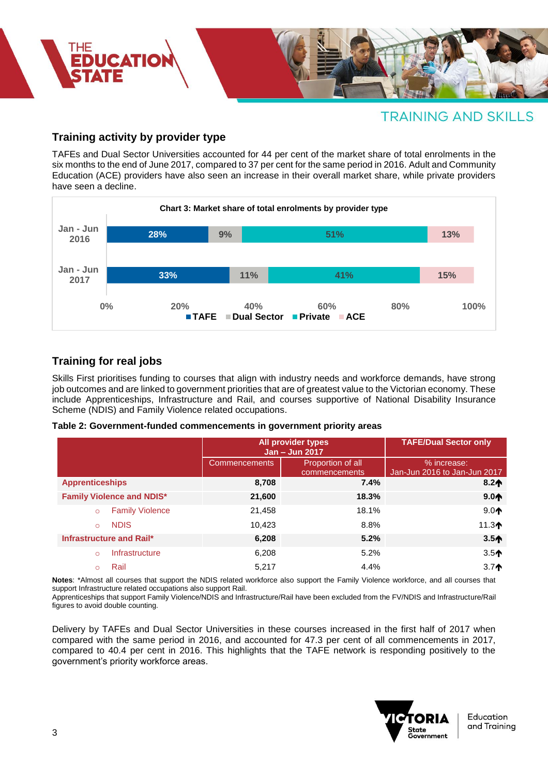

### **Training activity by provider type**

TAFEs and Dual Sector Universities accounted for 44 per cent of the market share of total enrolments in the six months to the end of June 2017, compared to 37 per cent for the same period in 2016. Adult and Community Education (ACE) providers have also seen an increase in their overall market share, while private providers have seen a decline.



### **Training for real jobs**

Skills First prioritises funding to courses that align with industry needs and workforce demands, have strong job outcomes and are linked to government priorities that are of greatest value to the Victorian economy. These include Apprenticeships, Infrastructure and Rail, and courses supportive of National Disability Insurance Scheme (NDIS) and Family Violence related occupations.

| Table 2: Government-funded commencements in government priority areas |  |  |
|-----------------------------------------------------------------------|--|--|
|                                                                       |  |  |

|                                   | All provider types<br>Jan - Jun 2017 |                                    | <b>TAFE/Dual Sector only</b>                |  |
|-----------------------------------|--------------------------------------|------------------------------------|---------------------------------------------|--|
|                                   | <b>Commencements</b>                 | Proportion of all<br>commencements | % increase:<br>Jan-Jun 2016 to Jan-Jun 2017 |  |
| <b>Apprenticeships</b>            | 8,708                                | 7.4%                               | $8.2*$                                      |  |
| <b>Family Violence and NDIS*</b>  | 21,600                               | 18.3%                              | 9.0 <sub>1</sub>                            |  |
| <b>Family Violence</b>            | 21,458                               | 18.1%                              | 9.0 <sub>1</sub>                            |  |
| <b>NDIS</b><br>$\circ$            | 10,423                               | 8.8%                               | 11.3 $\spadesuit$                           |  |
| Infrastructure and Rail*          | 6,208                                | 5.2%                               | $3.5+$                                      |  |
| <b>Infrastructure</b><br>$\Omega$ | 6,208                                | 5.2%                               | $3.5+$                                      |  |
| Rail                              | 5.217                                | 4.4%                               | $3.7^$                                      |  |

**Notes**: \*Almost all courses that support the NDIS related workforce also support the Family Violence workforce, and all courses that support Infrastructure related occupations also support Rail.

Apprenticeships that support Family Violence/NDIS and Infrastructure/Rail have been excluded from the FV/NDIS and Infrastructure/Rail figures to avoid double counting.

Delivery by TAFEs and Dual Sector Universities in these courses increased in the first half of 2017 when compared with the same period in 2016, and accounted for 47.3 per cent of all commencements in 2017, compared to 40.4 per cent in 2016. This highlights that the TAFE network is responding positively to the government's priority workforce areas.



Education and Training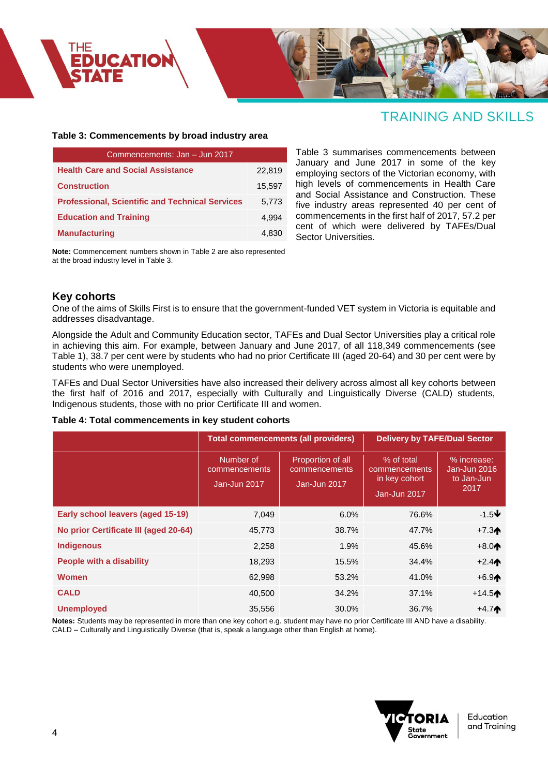

#### **Table 3: Commencements by broad industry area**

| Commencements: Jan - Jun 2017                          |        |  |  |
|--------------------------------------------------------|--------|--|--|
| <b>Health Care and Social Assistance</b>               | 22,819 |  |  |
| <b>Construction</b>                                    | 15,597 |  |  |
| <b>Professional, Scientific and Technical Services</b> | 5.773  |  |  |
| <b>Education and Training</b>                          | 4.994  |  |  |
| <b>Manufacturing</b>                                   | 4.830  |  |  |

**Note:** Commencement numbers shown in Table 2 are also represented at the broad industry level in Table 3.

Table 3 summarises commencements between January and June 2017 in some of the key employing sectors of the Victorian economy, with high levels of commencements in Health Care and Social Assistance and Construction. These five industry areas represented 40 per cent of commencements in the first half of 2017, 57.2 per cent of which were delivered by TAFEs/Dual Sector Universities.

### **Key cohorts**

One of the aims of Skills First is to ensure that the government-funded VET system in Victoria is equitable and addresses disadvantage.

Alongside the Adult and Community Education sector, TAFEs and Dual Sector Universities play a critical role in achieving this aim. For example, between January and June 2017, of all 118,349 commencements (see Table 1), 38.7 per cent were by students who had no prior Certificate III (aged 20-64) and 30 per cent were by students who were unemployed.

TAFEs and Dual Sector Universities have also increased their delivery across almost all key cohorts between the first half of 2016 and 2017, especially with Culturally and Linguistically Diverse (CALD) students, Indigenous students, those with no prior Certificate III and women.

#### **Table 4: Total commencements in key student cohorts**

|                                       | <b>Total commencements (all providers)</b> |                                                    | <b>Delivery by TAFE/Dual Sector</b>                          |                                                   |
|---------------------------------------|--------------------------------------------|----------------------------------------------------|--------------------------------------------------------------|---------------------------------------------------|
|                                       | Number of<br>commencements<br>Jan-Jun 2017 | Proportion of all<br>commencements<br>Jan-Jun 2017 | % of total<br>commencements<br>in key cohort<br>Jan-Jun 2017 | % increase:<br>Jan-Jun 2016<br>to Jan-Jun<br>2017 |
| Early school leavers (aged 15-19)     | 7,049                                      | $6.0\%$                                            | 76.6%                                                        | $-1.5\bigstar$                                    |
| No prior Certificate III (aged 20-64) | 45,773                                     | 38.7%                                              | 47.7%                                                        | $+7.3+$                                           |
| <b>Indigenous</b>                     | 2,258                                      | 1.9%                                               | 45.6%                                                        | $+8.0$                                            |
| <b>People with a disability</b>       | 18,293                                     | 15.5%                                              | 34.4%                                                        | $+2.4*$                                           |
| <b>Women</b>                          | 62,998                                     | 53.2%                                              | 41.0%                                                        | $+6.94$                                           |
| <b>CALD</b>                           | 40,500                                     | 34.2%                                              | 37.1%                                                        | $+14.5^{\circ}$                                   |
| <b>Unemployed</b>                     | 35,556                                     | 30.0%                                              | 36.7%                                                        | $+4.7*$                                           |

**Notes:** Students may be represented in more than one key cohort e.g. student may have no prior Certificate III AND have a disability. CALD – Culturally and Linguistically Diverse (that is, speak a language other than English at home).